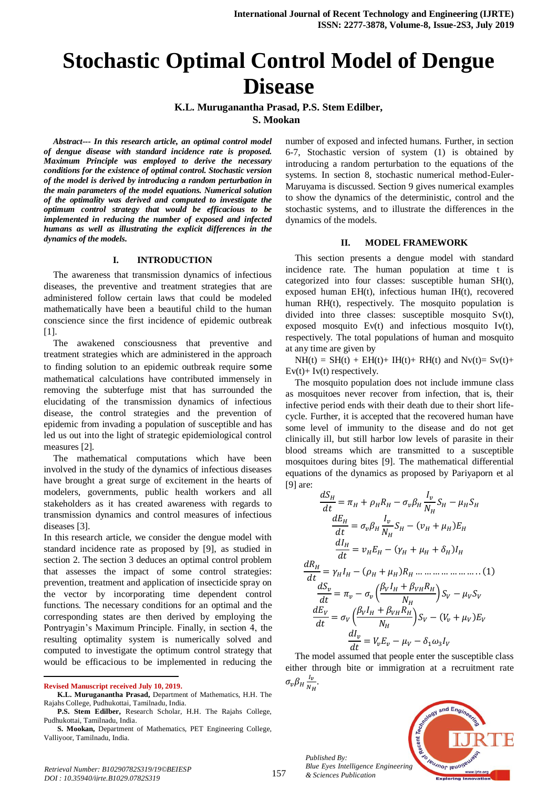# **Stochastic Optimal Control Model of Dengue Disease**

**K.L. Muruganantha Prasad, P.S. Stem Edilber, S. Mookan** 

*Abstract--- In this research article, an optimal control model of dengue disease with standard incidence rate is proposed. Maximum Principle was employed to derive the necessary conditions for the existence of optimal control. Stochastic version of the model is derived by introducing a random perturbation in the main parameters of the model equations. Numerical solution of the optimality was derived and computed to investigate the optimum control strategy that would be efficacious to be implemented in reducing the number of exposed and infected humans as well as illustrating the explicit differences in the dynamics of the models.*

#### **I. INTRODUCTION**

The awareness that transmission dynamics of infectious diseases, the preventive and treatment strategies that are administered follow certain laws that could be modeled mathematically have been a beautiful child to the human conscience since the first incidence of epidemic outbreak [1].

The awakened consciousness that preventive and treatment strategies which are administered in the approach to finding solution to an epidemic outbreak require some mathematical calculations have contributed immensely in removing the subterfuge mist that has surrounded the elucidating of the transmission dynamics of infectious disease, the control strategies and the prevention of epidemic from invading a population of susceptible and has led us out into the light of strategic epidemiological control measures [2].

The mathematical computations which have been involved in the study of the dynamics of infectious diseases have brought a great surge of excitement in the hearts of modelers, governments, public health workers and all stakeholders as it has created awareness with regards to transmission dynamics and control measures of infectious diseases [3].

In this research article, we consider the dengue model with standard incidence rate as proposed by [9], as studied in section 2. The section 3 deduces an optimal control problem that assesses the impact of some control strategies: prevention, treatment and application of insecticide spray on the vector by incorporating time dependent control functions. The necessary conditions for an optimal and the corresponding states are then derived by employing the Pontryagin's Maximum Principle. Finally, in section 4, the resulting optimality system is numerically solved and computed to investigate the optimum control strategy that would be efficacious to be implemented in reducing the

 $\overline{a}$ 

**P.S. Stem Edilber,** Research Scholar, H.H. The Rajahs College, Pudhukottai, Tamilnadu, India.

**S. Mookan,** Department of Mathematics, PET Engineering College, Valliyoor, Tamilnadu, India.

number of exposed and infected humans. Further, in section 6-7, Stochastic version of system (1) is obtained by introducing a random perturbation to the equations of the systems. In section 8, stochastic numerical method-Euler-Maruyama is discussed. Section 9 gives numerical examples to show the dynamics of the deterministic, control and the stochastic systems, and to illustrate the differences in the dynamics of the models.

## **II. MODEL FRAMEWORK**

This section presents a dengue model with standard incidence rate. The human population at time t is categorized into four classes: susceptible human SH(t), exposed human EH(t), infectious human IH(t), recovered human RH(t), respectively. The mosquito population is divided into three classes: susceptible mosquito Sv(t), exposed mosquito Ev(t) and infectious mosquito Iv(t), respectively. The total populations of human and mosquito at any time are given by

 $NH(t) = SH(t) + EH(t) + IH(t) + RH(t)$  and  $Nv(t) = Sv(t) +$  $Ev(t)$ + Iv(t) respectively.

The mosquito population does not include immune class as mosquitoes never recover from infection, that is, their infective period ends with their death due to their short lifecycle. Further, it is accepted that the recovered human have some level of immunity to the disease and do not get clinically ill, but still harbor low levels of parasite in their blood streams which are transmitted to a susceptible mosquitoes during bites [9]. The mathematical differential equations of the dynamics as proposed by Pariyaporn et al [9] are:

 

The model assumed that people enter the susceptible class either through bite or immigration at a recruitment rate  $\sigma_v \beta_H \frac{I}{I}$  $\frac{I_v}{N_H}$ .



*Published By: Blue Eyes Intelligence Engineering & Sciences Publication* 

**Revised Manuscript received July 10, 2019.**

**K.L. Muruganantha Prasad,** Department of Mathematics, H.H. The Rajahs College, Pudhukottai, Tamilnadu, India.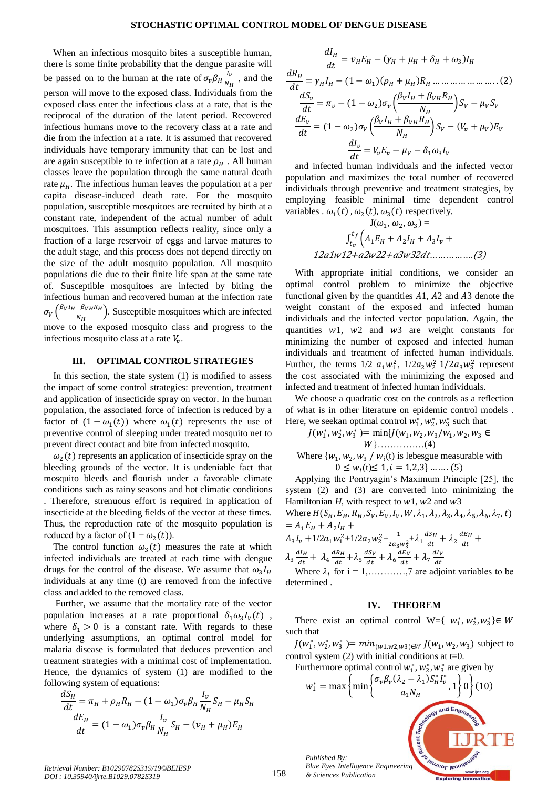When an infectious mosquito bites a susceptible human, there is some finite probability that the dengue parasite will be passed on to the human at the rate of  $\sigma_v \beta_H \frac{I}{N}$  $\frac{I_v}{N_H}$ , and the person will move to the exposed class. Individuals from the exposed class enter the infectious class at a rate, that is the reciprocal of the duration of the latent period. Recovered infectious humans move to the recovery class at a rate and die from the infection at a rate. It is assumed that recovered individuals have temporary immunity that can be lost and are again susceptible to re infection at a rate  $\rho_H$ . All human classes leave the population through the same natural death rate  $\mu_H$ . The infectious human leaves the population at a per capita disease-induced death rate. For the mosquito population, susceptible mosquitoes are recruited by birth at a constant rate, independent of the actual number of adult mosquitoes. This assumption reflects reality, since only a fraction of a large reservoir of eggs and larvae matures to the adult stage, and this process does not depend directly on the size of the adult mosquito population. All mosquito populations die due to their finite life span at the same rate of. Susceptible mosquitoes are infected by biting the infectious human and recovered human at the infection rate  $\sigma_V\left(\frac{\beta_V I_H + \beta_{VH} R_H}{N}\right)$ . Susceptible mosquitoes which are infected  $N_H$ move to the exposed mosquito class and progress to the infectious mosquito class at a rate  $V_{\nu}$ .

## **III. OPTIMAL CONTROL STRATEGIES**

In this section, the state system (1) is modified to assess the impact of some control strategies: prevention, treatment and application of insecticide spray on vector. In the human population, the associated force of infection is reduced by a factor of  $(1 - \omega_1(t))$  where  $\omega_1(t)$  represents the use of preventive control of sleeping under treated mosquito net to prevent direct contact and bite from infected mosquito.

 $\omega_2(t)$  represents an application of insecticide spray on the bleeding grounds of the vector. It is undeniable fact that mosquito bleeds and flourish under a favorable climate conditions such as rainy seasons and hot climatic conditions . Therefore, strenuous effort is required in application of insecticide at the bleeding fields of the vector at these times. Thus, the reproduction rate of the mosquito population is reduced by a factor of  $(1 - \omega_2(t))$ .

The control function  $\omega_3(t)$  measures the rate at which infected individuals are treated at each time with dengue drugs for the control of the disease. We assume that  $\omega_3 I$ individuals at any time (t) are removed from the infective class and added to the removed class.

Further, we assume that the mortality rate of the vector population increases at a rate proportional  $\delta_1 \omega_3 I_V(t)$ , where  $\delta_1 > 0$  is a constant rate. With regards to these underlying assumptions, an optimal control model for malaria disease is formulated that deduces prevention and treatment strategies with a minimal cost of implementation. Hence, the dynamics of system (1) are modified to the following system of equations:

$$
\frac{dS_H}{dt} = \pi_H + \rho_H R_H - (1 - \omega_1) \sigma_v \beta_H \frac{I_v}{N_H} S_H - \mu_H S_H
$$

$$
\frac{dE_H}{dt} = (1 - \omega_1) \sigma_v \beta_H \frac{I_v}{N_H} S_H - (\nu_H + \mu_H) E_H
$$

 

and infected human individuals and the infected vector population and maximizes the total number of recovered individuals through preventive and treatment strategies, by employing feasible minimal time dependent control variables .  $\omega_1(t)$ ,  $\omega_2(t)$ ,  $\omega_3(t)$  respectively.

J( , , ) = <sup>12</sup> <sup>1</sup> 12+ <sup>2</sup> 22+ <sup>3</sup> <sup>32</sup> *……………*.(3)

With appropriate initial conditions, we consider an optimal control problem to minimize the objective functional given by the quantities  $A1$ ,  $A2$  and  $A3$  denote the weight constant of the exposed and infected human individuals and the infected vector population. Again, the quantities  $w1$ ,  $w2$  and  $w3$  are weight constants for minimizing the number of exposed and infected human individuals and treatment of infected human individuals. Further, the terms  $1/2 a_1 w_1^2$ ,  $1/2 a_2 w_2^2 1/2 a_3 w_3^2$  represent the cost associated with the minimizing the exposed and infected and treatment of infected human individuals.

We choose a quadratic cost on the controls as a reflection of what is in other literature on epidemic control models . Here, we seekan optimal control  $w_1^*$ ,  $w_2^*$ ,  $w_3^*$  such that

$$
J(w_1^*, w_2^*, w_3^*) = \min\{J(w_1, w_2, w_3/w_1, w_2, w_3 \in W\}
$$
  
 
$$
W\}
$$
  
Where  $\{w_1, w_2, w_3 / w_i(t)$  is lebesgue measurable with

 $0 \leq w_i(t) \leq$ 

Applying the Pontryagin's Maximum Principle [25], the system (2) and (3) are converted into minimizing the Hamiltonian  $H$ , with respect to  $w1$ ,  $w2$  and  $w3$ 

Where  $H(S_H, E_H, R_H, S_V, E_V, I_V, W, \lambda_1, \lambda_2, \lambda_3, \lambda_4, \lambda_5, \lambda_6, \lambda_7,$  $= A_1 E_H + A_2 I$ 

$$
A_{3}I_{\nu} + 1/2a_{1}w_{1}^{2} + 1/2a_{2}w_{2}^{2} + \frac{1}{2a_{3}w_{3}^{2}} + \lambda_{1} \frac{dS_{H}}{dt} + \lambda_{2} \frac{dE_{H}}{dt} + \lambda_{3} \frac{dI_{H}}{dt} + \lambda_{4} \frac{dR_{H}}{dt} + \lambda_{5} \frac{dS_{V}}{dt} + \lambda_{6} \frac{dE_{V}}{dt} + \lambda_{7} \frac{dI_{V}}{dt}
$$

Where  $\lambda_i$  for  $i = 1, \ldots, 7$  are adjoint variables to be determined .

#### **IV. THEOREM**

There exist an optimal control W={  $w_1^*, w_2^*, w_3^*$  }  $\in$ such that

 $J(w_1^*, w_2^*, w_3^*) = min_{(w_1, w_2, w_3) \in W} J(w_1, w_2, w_3)$  subject to control system  $(2)$  with initial conditions at t=0.

Furthermore optimal control  $w_1^*$ ,  $w_2^*$ ,  $w_3^*$  are given by



*Retrieval Number: B10290782S319/19©BEIESP DOI : 10.35940/ijrte.B1029.0782S319*

*& Sciences Publication*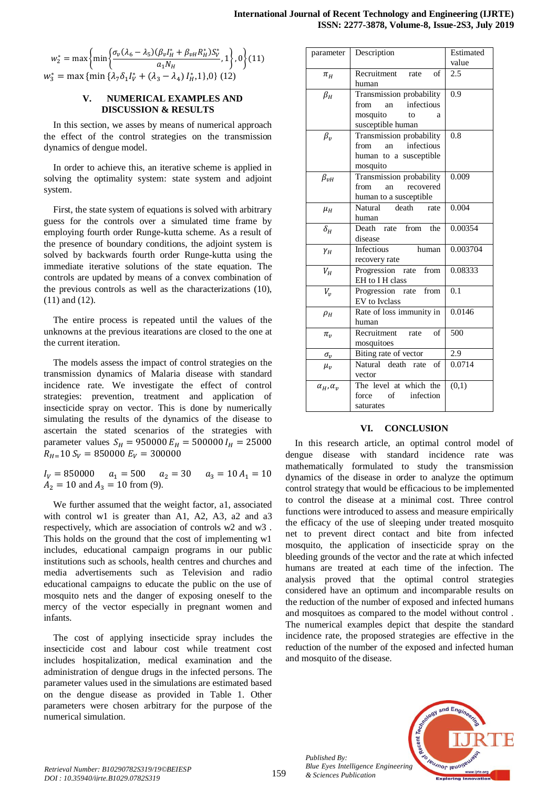$$
w_2^* = \max \left\{ \min \left\{ \frac{\sigma_v (\lambda_6 - \lambda_5) (\beta_v I_H^* + \beta_{vH} R_H^*) S_V^*}{a_1 N_H}, 1 \right\}, 0 \right\} (11)
$$
  

$$
w_3^* = \max \left\{ \min \left\{ \lambda_7 \delta_1 I_V^* + (\lambda_3 - \lambda_4) I_H^* , 1 \right\}, 0 \right\} (12)
$$

# **V. NUMERICAL EXAMPLES AND DISCUSSION & RESULTS**

In this section, we asses by means of numerical approach the effect of the control strategies on the transmission dynamics of dengue model.

In order to achieve this, an iterative scheme is applied in solving the optimality system: state system and adjoint system.

First, the state system of equations is solved with arbitrary guess for the controls over a simulated time frame by employing fourth order Runge-kutta scheme. As a result of the presence of boundary conditions, the adjoint system is solved by backwards fourth order Runge-kutta using the immediate iterative solutions of the state equation. The controls are updated by means of a convex combination of the previous controls as well as the characterizations (10), (11) and (12).

The entire process is repeated until the values of the unknowns at the previous itearations are closed to the one at the current iteration.

The models assess the impact of control strategies on the transmission dynamics of Malaria disease with standard incidence rate. We investigate the effect of control strategies: prevention, treatment and application of insecticide spray on vector. This is done by numerically simulating the results of the dynamics of the disease to ascertain the stated scenarios of the strategies with parameter values  $S_H = 950000 E_H = 500000 I_H = 25000$  $R_{H=}10 S_V = 850000 E_V = 300000$ 

 $I_V = 850000$   $a_1 = 500$   $a_2 = 30$   $a_3 = 10 A_1 = 10$  $A_2 = 10$  and  $A_3 = 10$  from (9).

We further assumed that the weight factor, a1, associated with control w1 is greater than A1, A2, A3, a2 and a3 respectively, which are association of controls w2 and w3 . This holds on the ground that the cost of implementing w1 includes, educational campaign programs in our public institutions such as schools, health centres and churches and media advertisements such as Television and radio educational campaigns to educate the public on the use of mosquito nets and the danger of exposing oneself to the mercy of the vector especially in pregnant women and infants.

The cost of applying insecticide spray includes the insecticide cost and labour cost while treatment cost includes hospitalization, medical examination and the administration of dengue drugs in the infected persons. The parameter values used in the simulations are estimated based on the dengue disease as provided in Table 1. Other parameters were chosen arbitrary for the purpose of the numerical simulation.

| parameter            | Description                | Estimated |
|----------------------|----------------------------|-----------|
|                      |                            | value     |
| $\pi_H$              | Recruitment rate<br>- of   | 2.5       |
|                      | human                      |           |
| $\beta_H$            | Transmission probability   | 0.9       |
|                      | infectious<br>from<br>an   |           |
|                      | mosquito<br>to<br>a        |           |
|                      | susceptible human          |           |
| $\beta_{\nu}$        | Transmission probability   | 0.8       |
|                      | infectious<br>from<br>an   |           |
|                      | human to a susceptible     |           |
|                      | mosquito                   |           |
| $\beta_{\nu H}$      | Transmission probability   | 0.009     |
|                      | recovered<br>from<br>an    |           |
|                      | human to a susceptible     |           |
| $\mu_H$              | Natural<br>death rate      | 0.004     |
|                      | human                      |           |
| $\delta_H$           | Death rate from the        | 0.00354   |
|                      | disease                    |           |
| $\gamma_H$           | <b>Infectious</b><br>human | 0.003704  |
|                      | recovery rate              |           |
| $V_H$                | Progression rate from      | 0.08333   |
|                      | EH to I H class            |           |
| $V_{\nu}$            | Progression rate from      | 0.1       |
|                      | EV to Ivclass              |           |
| $\rho_H$             | Rate of loss immunity in   | 0.0146    |
|                      | human                      |           |
| $\pi_{v}$            | Recruitment<br>of<br>rate  | 500       |
|                      | mosquitoes                 |           |
| $\sigma_{v}$         | Biting rate of vector      | 2.9       |
| $\mu_{\nu}$          | Natural death rate<br>of   | 0.0714    |
|                      | vector                     |           |
| $\alpha_H, \alpha_v$ | The level at which the     | (0,1)     |
|                      | force of infection         |           |
|                      | saturates                  |           |

# **VI. CONCLUSION**

In this research article, an optimal control model of dengue disease with standard incidence rate was mathematically formulated to study the transmission dynamics of the disease in order to analyze the optimum control strategy that would be efficacious to be implemented to control the disease at a minimal cost. Three control functions were introduced to assess and measure empirically the efficacy of the use of sleeping under treated mosquito net to prevent direct contact and bite from infected mosquito, the application of insecticide spray on the bleeding grounds of the vector and the rate at which infected humans are treated at each time of the infection. The analysis proved that the optimal control strategies considered have an optimum and incomparable results on the reduction of the number of exposed and infected humans and mosquitoes as compared to the model without control . The numerical examples depict that despite the standard incidence rate, the proposed strategies are effective in the reduction of the number of the exposed and infected human and mosquito of the disease.



*Published By:*

*& Sciences Publication*